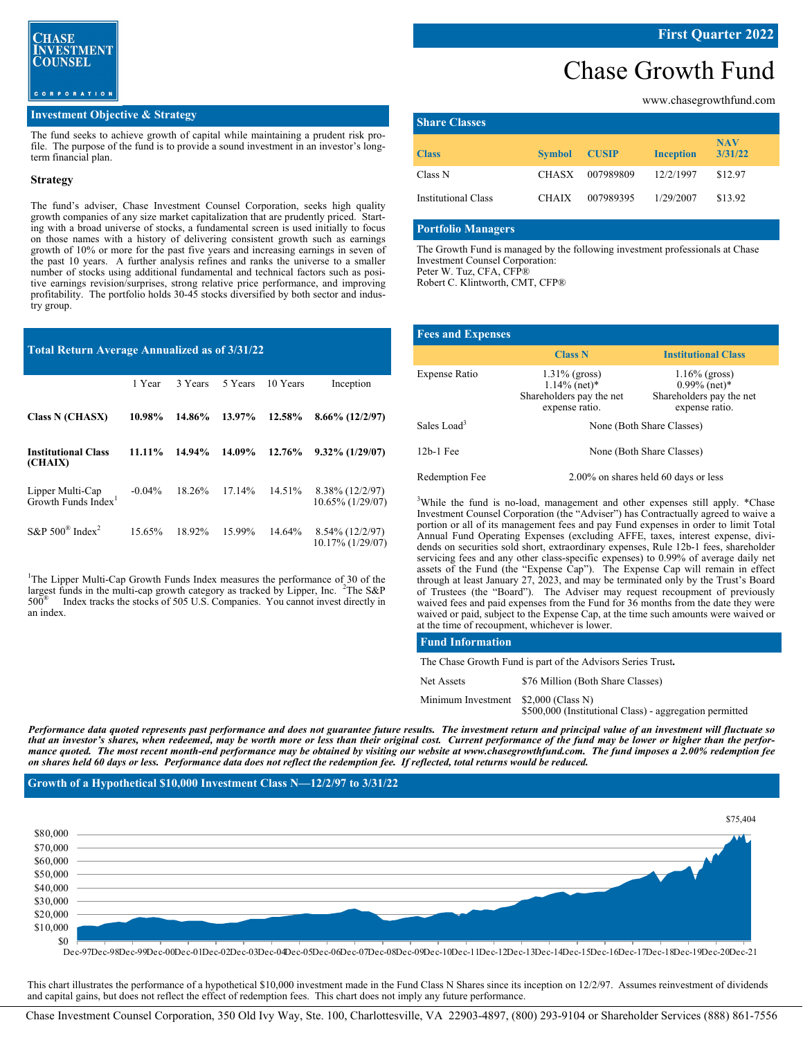

#### **Investment Objective & Strategy**

The fund seeks to achieve growth of capital while maintaining a prudent risk profile. The purpose of the fund is to provide a sound investment in an investor's longterm financial plan.

#### **Strategy**

The fund's adviser, Chase Investment Counsel Corporation, seeks high quality growth companies of any size market capitalization that are prudently priced. Starting with a broad universe of stocks, a fundamental screen is used initially to focus on those names with a history of delivering consistent growth such as earnings growth of 10% or more for the past five years and increasing earnings in seven of the past 10 years. A further analysis refines and ranks the universe to a smaller number of stocks using additional fundamental and technical factors such as positive earnings revision/surprises, strong relative price performance, and improving profitability. The portfolio holds 30-45 stocks diversified by both sector and industry group.

#### **Total Return Average Annualized as of 3/31/22**

|                                                     | 1 Year    | 3 Years | 5 Years | 10 Years | Inception                           |
|-----------------------------------------------------|-----------|---------|---------|----------|-------------------------------------|
| <b>Class N (CHASX)</b>                              | 10.98%    | 14.86%  | 13.97%  | 12.58%   | $8.66\%$ (12/2/97)                  |
| <b>Institutional Class</b><br>(CHAIX)               | 11.11%    | 14.94%  | 14.09%  | 12.76%   | $9.32\%$ (1/29/07)                  |
| Lipper Multi-Cap<br>Growth Funds Index <sup>1</sup> | $-0.04\%$ | 18.26%  | 17.14%  | 14.51%   | 8.38% (12/2/97)<br>10.65% (1/29/07) |
| S&P $500^{\circ}$ Index <sup>2</sup>                | 15.65%    | 18.92%  | 15.99%  | 14.64%   | 8.54% (12/2/97)<br>10.17% (1/29/07) |

<sup>1</sup>The Lipper Multi-Cap Growth Funds Index measures the performance of 30 of the largest funds in the multi-cap growth category as tracked by Lipper, Inc.  ${}^{2}$ The S&P 500® Index tracks the stocks of 505 U.S. Companies. You cannot invest directly in an index.

## Chase Growth Fund

www.chasegrowthfund.com

| <b>Share Classes</b>       |               |              |                  |                       |
|----------------------------|---------------|--------------|------------------|-----------------------|
| <b>Class</b>               | <b>Symbol</b> | <b>CUSIP</b> | <b>Inception</b> | <b>NAV</b><br>3/31/22 |
| Class N                    | CHASX         | 007989809    | 12/2/1997        | \$12.97               |
| <b>Institutional Class</b> | <b>CHAIX</b>  | 007989395    | 1/29/2007        | \$13.92               |

#### **Portfolio Managers**

The Growth Fund is managed by the following investment professionals at Chase Investment Counsel Corporation: Peter W. Tuz, CFA, CFP®

Robert C. Klintworth, CMT, CFP®

| <b>Fees and Expenses</b> |                                                                                               |                                                                                   |  |
|--------------------------|-----------------------------------------------------------------------------------------------|-----------------------------------------------------------------------------------|--|
|                          | <b>Class N</b>                                                                                | <b>Institutional Class</b>                                                        |  |
| Expense Ratio            | $1.31\%$ (gross)<br>$1.14\%$ (net) <sup>*</sup><br>Shareholders pay the net<br>expense ratio. | $1.16\%$ (gross)<br>$0.99\%$ (net)*<br>Shareholders pay the net<br>expense ratio. |  |
| Sales Load <sup>3</sup>  | None (Both Share Classes)                                                                     |                                                                                   |  |
| $12b-1$ Fee              | None (Both Share Classes)                                                                     |                                                                                   |  |
| Redemption Fee           |                                                                                               | 2.00% on shares held 60 days or less                                              |  |

<sup>3</sup>While the fund is no-load, management and other expenses still apply. \*Chase Investment Counsel Corporation (the "Adviser") has Contractually agreed to waive a portion or all of its management fees and pay Fund expenses in order to limit Total Annual Fund Operating Expenses (excluding AFFE, taxes, interest expense, dividends on securities sold short, extraordinary expenses, Rule 12b-1 fees, shareholder servicing fees and any other class-specific expenses) to 0.99% of average daily net assets of the Fund (the "Expense Cap"). The Expense Cap will remain in effect through at least January 27, 2023, and may be terminated only by the Trust's Board of Trustees (the "Board"). The Adviser may request recoupment of previously waived fees and paid expenses from the Fund for 36 months from the date they were waived or paid, subject to the Expense Cap, at the time such amounts were waived or at the time of recoupment, whichever is lower.

#### **Fund Information**

The Chase Growth Fund is part of the Advisors Series Trust**.** 

| Net Assets                           | \$76 Million (Both Share Classes)                       |
|--------------------------------------|---------------------------------------------------------|
| Minimum Investment \$2,000 (Class N) | \$500,000 (Institutional Class) - aggregation permitted |

*Performance data quoted represents past performance and does not guarantee future results. The investment return and principal value of an investment will fluctuate so that an investor's shares, when redeemed, may be worth more or less than their original cost. Current performance of the fund may be lower or higher than the performance quoted. The most recent month-end performance may be obtained by visiting our website at www.chasegrowthfund.com. The fund imposes a 2.00% redemption fee on shares held 60 days or less. Performance data does not reflect the redemption fee. If reflected, total returns would be reduced.* 

**Growth of a Hypothetical \$10,000 Investment Class N—12/2/97 to 3/31/22**



Dec-97Dec-98Dec-99Dec-00Dec-01Dec-02Dec-03Dec-04Dec-05Dec-06Dec-07Dec-08Dec-09Dec-10Dec-11Dec-12Dec-13Dec-14Dec-15Dec-16Dec-17Dec-18Dec-19Dec-20Dec-21

This chart illustrates the performance of a hypothetical \$10,000 investment made in the Fund Class N Shares since its inception on 12/2/97. Assumes reinvestment of dividends and capital gains, but does not reflect the effect of redemption fees. This chart does not imply any future performance.

Chase Investment Counsel Corporation, 350 Old Ivy Way, Ste. 100, Charlottesville, VA 22903-4897, (800) 293-9104 or Shareholder Services (888) 861-7556